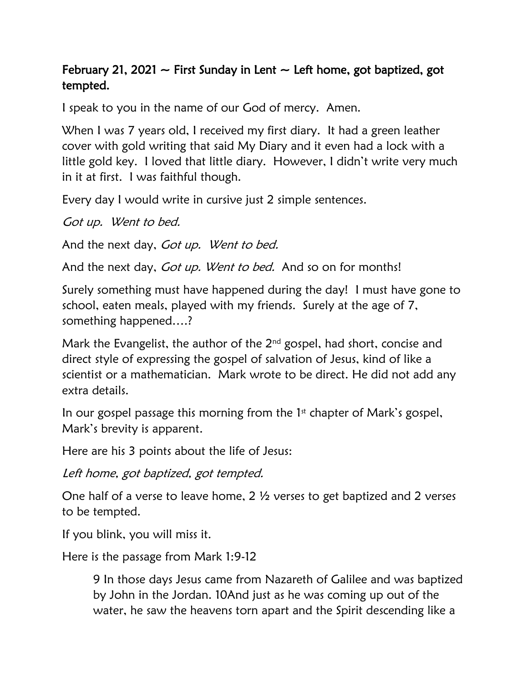## February 21, 2021  $\sim$  First Sunday in Lent  $\sim$  Left home, got baptized, got tempted.

I speak to you in the name of our God of mercy. Amen.

When I was 7 years old, I received my first diary. It had a green leather cover with gold writing that said My Diary and it even had a lock with a little gold key. I loved that little diary. However, I didn't write very much in it at first. I was faithful though.

Every day I would write in cursive just 2 simple sentences.

Got up. Went to bed.

And the next day, Got up. Went to bed.

And the next day, *Got up. Went to bed.* And so on for months!

Surely something must have happened during the day! I must have gone to school, eaten meals, played with my friends. Surely at the age of 7, something happened….?

Mark the Evangelist, the author of the  $2<sup>nd</sup>$  gospel, had short, concise and direct style of expressing the gospel of salvation of Jesus, kind of like a scientist or a mathematician. Mark wrote to be direct. He did not add any extra details.

In our gospel passage this morning from the  $1<sup>st</sup>$  chapter of Mark's gospel, Mark's brevity is apparent.

Here are his 3 points about the life of Jesus:

Left home, got baptized, got tempted.

One half of a verse to leave home, 2 ½ verses to get baptized and 2 verses to be tempted.

If you blink, you will miss it.

Here is the passage from Mark 1:9-12

9 In those days Jesus came from Nazareth of Galilee and was baptized by John in the Jordan. 10And just as he was coming up out of the water, he saw the heavens torn apart and the Spirit descending like a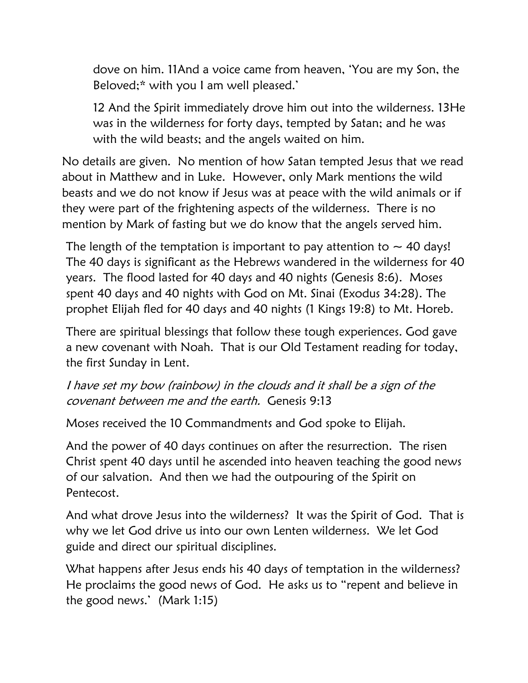dove on him. 11And a voice came from heaven, 'You are my Son, the Beloved[;\\*](javascript:void(0);) with you I am well pleased.'

12 And the Spirit immediately drove him out into the wilderness. 13He was in the wilderness for forty days, tempted by Satan; and he was with the wild beasts; and the angels waited on him.

No details are given. No mention of how Satan tempted Jesus that we read about in Matthew and in Luke. However, only Mark mentions the wild beasts and we do not know if Jesus was at peace with the wild animals or if they were part of the frightening aspects of the wilderness. There is no mention by Mark of fasting but we do know that the angels served him.

The length of the temptation is important to pay attention to  $\sim$  40 days! The 40 days is significant as the Hebrews wandered in the wilderness for 40 years. The flood lasted for 40 days and 40 nights (Genesis 8:6). Moses spent 40 days and 40 nights with God on Mt. Sinai (Exodus 34:28). The prophet Elijah fled for 40 days and 40 nights (1 Kings 19:8) to Mt. Horeb.

There are spiritual blessings that follow these tough experiences. God gave a new covenant with Noah. That is our Old Testament reading for today, the first Sunday in Lent.

I have set my bow (rainbow) in the clouds and it shall be a sign of the covenant between me and the earth. Genesis 9:13

Moses received the 10 Commandments and God spoke to Elijah.

And the power of 40 days continues on after the resurrection. The risen Christ spent 40 days until he ascended into heaven teaching the good news of our salvation. And then we had the outpouring of the Spirit on Pentecost.

And what drove Jesus into the wilderness? It was the Spirit of God. That is why we let God drive us into our own Lenten wilderness. We let God guide and direct our spiritual disciplines.

What happens after Jesus ends his 40 days of temptation in the wilderness? He proclaims the good news of God. He asks us to "repent and believe in the good news.' (Mark 1:15)